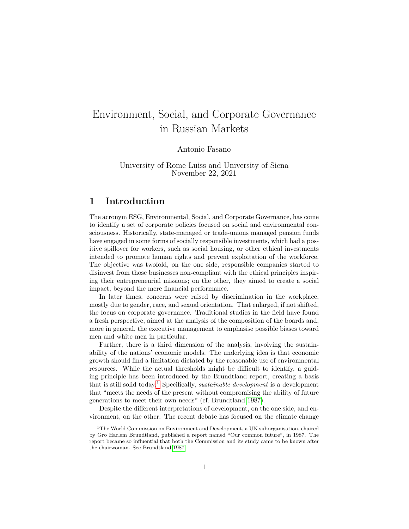# Environment, Social, and Corporate Governance in Russian Markets

Antonio Fasano

University of Rome Luiss and University of Siena November 22, 2021

# **1 Introduction**

The acronym ESG, Environmental, Social, and Corporate Governance, has come to identify a set of corporate policies focused on social and environmental consciousness. Historically, state-managed or trade-unions managed pension funds have engaged in some forms of socially responsible investments, which had a positive spillover for workers, such as social housing, or other ethical investments intended to promote human rights and prevent exploitation of the workforce. The objective was twofold, on the one side, responsible companies started to disinvest from those businesses non-compliant with the ethical principles inspiring their entrepreneurial missions; on the other, they aimed to create a social impact, beyond the mere financial performance.

In later times, concerns were raised by discrimination in the workplace, mostly due to gender, race, and sexual orientation. That enlarged, if not shifted, the focus on corporate governance. Traditional studies in the field have found a fresh perspective, aimed at the analysis of the composition of the boards and, more in general, the executive management to emphasise possible biases toward men and white men in particular.

Further, there is a third dimension of the analysis, involving the sustainability of the nations' economic models. The underlying idea is that economic growth should find a limitation dictated by the reasonable use of environmental resources. While the actual thresholds might be difficult to identify, a guiding principle has been introduced by the Brundtland report, creating a basis that is still solid today.[1](#page-0-0) Specifically, *sustainable development* is a development that "meets the needs of the present without compromising the ability of future generations to meet their own needs" (cf. Brundtland [1987\)](#page-15-0).

Despite the different interpretations of development, on the one side, and environment, on the other. The recent debate has focused on the climate change

<span id="page-0-0"></span><sup>1</sup>The World Commission on Environment and Development, a UN suborganisation, chaired by Gro Harlem Brundtland, published a report named "Our common future", in 1987. The report became so influential that both the Commission and its study came to be known after the chairwoman. See Brundtland [1987](#page-15-0)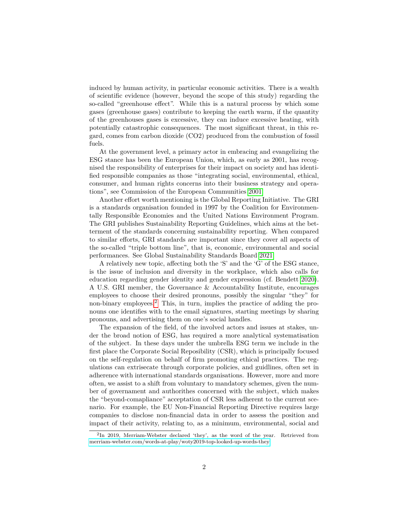induced by human activity, in particular economic activities. There is a wealth of scientific evidence (however, beyond the scope of this study) regarding the so-called "greenhouse effect". While this is a natural process by which some gases (greenhouse gases) contribute to keeping the earth warm, if the quantity of the greenhouses gases is excessive, they can induce excessive heating, with potentially catastrophic consequences. The most significant threat, in this regard, comes from carbon dioxide (CO2) produced from the combustion of fossil fuels.

At the government level, a primary actor in embracing and evangelizing the ESG stance has been the European Union, which, as early as 2001, has recognised the responsibility of enterprises for their impact on society and has identified responsible companies as those "integrating social, environmental, ethical, consumer, and human rights concerns into their business strategy and operations", see Commission of the European Communities [2001.](#page-15-1)

Another effort worth mentioning is the Global Reporting Initiative. The GRI is a standards organisation founded in 1997 by the Coalition for Environmentally Responsible Economies and the United Nations Environment Program. The GRI publishes Sustainability Reporting Guidelines, which aims at the betterment of the standards concerning sustainability reporting. When compared to similar efforts, GRI standards are important since they cover all aspects of the so-called "triple bottom line", that is, economic, environmental and social performances. See Global Sustainability Standards Board [2021.](#page-15-2)

A relatively new topic, affecting both the 'S' and the 'G' of the ESG stance, is the issue of inclusion and diversity in the workplace, which also calls for education regarding gender identity and gender expression (cf. Bendett [2020\)](#page-15-3). A U.S. GRI member, the Governance & Accountability Institute, encourages employees to choose their desired pronouns, possibly the singular "they" for non-binary employees.<sup>[2](#page-1-0)</sup> This, in turn, implies the practice of adding the pronouns one identifies with to the email signatures, starting meetings by sharing pronouns, and advertising them on one's social handles.

The expansion of the field, of the involved actors and issues at stakes, under the broad notion of ESG, has required a more analytical systematisation of the subject. In these days under the umbrella ESG term we include in the first place the Corporate Social Reposibility (CSR), which is principally focused on the self-regulation on behalf of firm promoting ethical practices. The regulations can extrisecate through corporate policies, and guidlines, often set in adherence with international standards organisations. However, more and more often, we assist to a shift from voluntary to mandatory schemes, given the number of governament and authorithes concerned with the subject, which makes the "beyond-comapliance" acceptation of CSR less adherent to the current scenario. For example, the EU Non-Financial Reporting Directive requires large companies to disclose non-financial data in order to assess the position and impact of their activity, relating to, as a minimum, environmental, social and

<span id="page-1-0"></span><sup>2</sup> In 2019, Merriam-Webster declared 'they', as the word of the year. Retrieved from [merriam-webster.com/words-at-play/woty2019-top-looked-up-words-they](https://www.merriam-webster.com/words-at-play/woty2019-top-looked-up-words-they)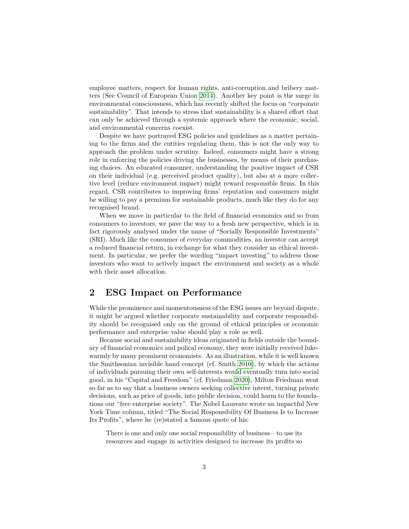employee matters, respect for human rights, anti-corruption and bribery matters (See Council of European Union [2014\)](#page-15-4). Another key point is the surge in environmental consciousness, which has recently shifted the focus on "corporate sustainability". That intends to stress that sustainability is a shared effort that can only be achieved through a systemic approach where the economic, social, and environmental concerns coexist.

Despite we have portrayed ESG policies and guidelines as a matter pertaining to the firms and the entities regulating them, this is not the only way to approach the problem under scrutiny. Indeed, consumers might have a strong role in enforcing the policies driving the businesses, by means of their purchasing choices. An educated consumer, understanding the positive impact of CSR on their individual (e.g. perceived product quality), but also at a more collective level (reduce environment impact) might reward responsible firms. In this regard, CSR contributes to improving firms' reputation and consumers might be willing to pay a premium for sustainable products, much like they do for any recognised brand.

When we move in particular to the field of financial economics and so from consumers to investors, we pave the way to a fresh new perspective, which is in fact rigorously analysed under the name of "Socially Responsible Investments" (SRI). Much like the consumer of everyday commodities, an investor can accept a reduced financial return, in exchange for what they consider an ethical investment. In particular, we prefer the wording "impact investing" to address those investors who want to actively impact the environment and society as a whole with their asset allocation.

## **2 ESG Impact on Performance**

While the prominence and momentousness of the ESG issues are beyond dispute, it might be argued whether corporate sustainability and corporate responsibility should be recognised only on the ground of ethical principles or economic performance and enterprise value should play a role as well.

Because social and sustainibility ideas originated in fields outside the boundary of financial economics and polical economy, they were initially received lukewarmly by many prominent economists. As an illustration, while it is well known the Smithsonian invisible hand concept (cf. Smith [2010\)](#page-15-5), by which the actions of individuals pursuing their own self-interests would eventually turn into social good, in his "Capital and Freedom" (cf. Friedman [2020\)](#page-15-6), Milton Friedman went so far as to say that a business owners seeking collective interst, turning private decisions, such as price of goods, into public decision, could harm to the foundations our "free enterprise society". The Nobel Laureate wrote an impactful New York Time column, titled "The Social Responsibility Of Business Is to Increase Its Profits", where he (re)stated a famous quote of his:

There is one and only one social responsibility of business—to use its resources and engage in activities designed to increase its profits so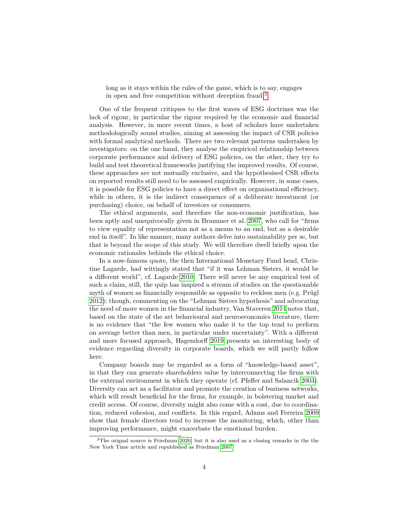long as it stays within the rules of the game, which is to say, engages in open and free competition without deception fraud.[3](#page-3-0)

One of the frequent critiques to the first waves of ESG doctrines was the lack of rigour, in particular the rigour required by the economic and financial analysis. However, in more recent times, a host of scholars have undertaken methodologically sound studies, aiming at assessing the impact of CSR policies with formal analytical methods. There are two relevant patterns undertaken by investigators: on the one hand, they analyse the empirical relationship between corporate performance and delivery of ESG policies, on the other, they try to build and test theoretical frameworks justifying the improved results. Of course, these approaches are not mutually exclusive, and the hypothesised CSR effects on reported results still need to be assessed empirically. However, in some cases, it is possible for ESG policies to have a direct effect on organisational efficiency, while in others, it is the indirect consequence of a deliberate investment (or purchasing) choice, on behalf of investors or consumers.

The ethical arguments, and therefore the non-economic justification, has been aptly and unequivocally given in Brammer et al. [2007,](#page-15-7) who call for "firms to view equality of representation not as a means to an end, but as a desirable end in itself". In like manner, many authors delve into sustainability per se, but that is beyond the scope of this study. We will therefore dwell briefly upon the economic rationales behinds the ethical choice.

In a now-famous quote, the then International Monetary Fund head, Christine Lagarde, had wittingly stated that "if it was Lehman Sisters, it would be a different world", cf. Lagarde [2010.](#page-15-8) There will never be any empirical test of such a claim, still, the quip has inspired a stream of studies on the questionable myth of women as financially responsible as opposite to reckless men (e.g. Prügl [2012\)](#page-15-9); though, commenting on the "Lehman Sisters hypothesis" and advocating the need of more women in the financial industry, Van Staveren [2014](#page-15-10) notes that, based on the state of the art behavioural and neuroeconomics literature, there is no evidence that "the few women who make it to the top tend to perform on average better than men, in particular under uncertainty". With a different and more focused approach, Hagendorff [2019](#page-15-11) presents an interesting body of evidence regarding diversity in corporate boards, which we will partly follow here.

Company boards may be regarded as a form of "knowledge-based asset", in that they can generate shareholders value by interconnecting the firms with the external environment in which they operate (cf. Pfeffer and Salancik [2003\)](#page-15-12). Diversity can act as a facilitator and promote the creation of business networks, which will result beneficial for the firms, for example, in bolstering market and credit access. Of course, diversity might also come with a cost, due to coordination, reduced cohesion, and conflicts. In this regard, Adams and Ferreira [2009](#page-15-13) show that female directors tend to increase the monitoring, which, other than improving performance, might exacerbate the emotional burden.

<span id="page-3-0"></span><sup>3</sup>The orignal source is Friedman [2020,](#page-15-6) but it is also used as a closing remarks in the the New York Time article and republished as Friedman [2007.](#page-15-14)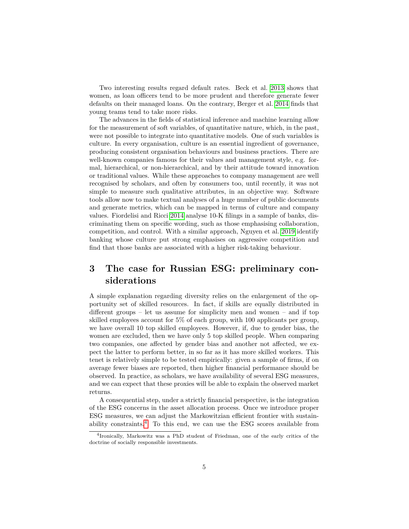Two interesting results regard default rates. Beck et al. [2013](#page-15-15) shows that women, as loan officers tend to be more prudent and therefore generate fewer defaults on their managed loans. On the contrary, Berger et al. [2014](#page-15-16) finds that young teams tend to take more risks.

The advances in the fields of statistical inference and machine learning allow for the measurement of soft variables, of quantitative nature, which, in the past, were not possible to integrate into quantitative models. One of such variables is culture. In every organisation, culture is an essential ingredient of governance, producing consistent organisation behaviours and business practices. There are well-known companies famous for their values and management style, e.g. formal, hierarchical, or non-hierarchical, and by their attitude toward innovation or traditional values. While these approaches to company management are well recognised by scholars, and often by consumers too, until recently, it was not simple to measure such qualitative attributes, in an objective way. Software tools allow now to make textual analyses of a huge number of public documents and generate metrics, which can be mapped in terms of culture and company values. Fiordelisi and Ricci [2014](#page-15-17) analyse 10-K filings in a sample of banks, discriminating them on specific wording, such as those emphasising collaboration, competition, and control. With a similar approach, Nguyen et al. [2019](#page-15-18) identify banking whose culture put strong emphasises on aggressive competition and find that those banks are associated with a higher risk-taking behaviour.

# **3 The case for Russian ESG: preliminary considerations**

A simple explanation regarding diversity relies on the enlargement of the opportunity set of skilled resources. In fact, if skills are equally distributed in different groups – let us assume for simplicity men and women – and if top skilled employees account for 5% of each group, with 100 applicants per group, we have overall 10 top skilled employees. However, if, due to gender bias, the women are excluded, then we have only 5 top skilled people. When comparing two companies, one affected by gender bias and another not affected, we expect the latter to perform better, in so far as it has more skilled workers. This tenet is relatively simple to be tested empirically: given a sample of firms, if on average fewer biases are reported, then higher financial performance should be observed. In practice, as scholars, we have availability of several ESG measures, and we can expect that these proxies will be able to explain the observed market returns.

A consequential step, under a strictly financial perspective, is the integration of the ESG concerns in the asset allocation process. Once we introduce proper ESG measures, we can adjust the Markowitzian efficient frontier with sustain-ability constraints.<sup>[4](#page-4-0)</sup> To this end, we can use the ESG scores available from

<span id="page-4-0"></span><sup>4</sup> Ironically, Markowitz was a PhD student of Friedman, one of the early critics of the doctrine of socially responsible investments.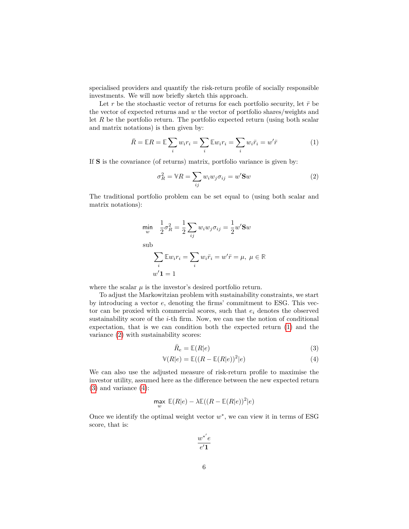specialised providers and quantify the risk-return profile of socially responsible investments. We will now briefly sketch this approach.

Let r be the stochastic vector of returns for each portfolio security, let  $\bar{r}$  be the vector of expected returns and *w* the vector of portfolio shares/weights and let R be the portfolio return. The portfolio expected return (using both scalar and matrix notations) is then given by:

$$
\bar{R} = \mathbb{E}R = \mathbb{E}\sum_{i} w_i r_i = \sum_{i} \mathbb{E}w_i r_i = \sum_{i} w_i \bar{r}_i = w'\bar{r}
$$
 (1)

If **S** is the covariance (of returns) matrix, portfolio variance is given by:

<span id="page-5-1"></span><span id="page-5-0"></span>
$$
\sigma_R^2 = \mathbb{V}R = \sum_{ij} w_i w_j \sigma_{ij} = w' \mathbf{S} w \tag{2}
$$

The traditional portfolio problem can be set equal to (using both scalar and matrix notations):

$$
\min_{w} \quad \frac{1}{2}\sigma_R^2 = \frac{1}{2}\sum_{ij} w_i w_j \sigma_{ij} = \frac{1}{2}w' \mathbf{S} w
$$
\n
$$
\sum_{i} \mathbb{E} w_i r_i = \sum_{i} w_i \bar{r}_i = w' \bar{r} = \mu, \ \mu \in \mathbb{R}
$$
\n
$$
w' \mathbf{1} = 1
$$

where the scalar  $\mu$  is the investor's desired portfolio return.

To adjust the Markowitzian problem with sustainability constraints, we start by introducing a vector *e*, denoting the firms' commitment to ESG. This vector can be proxied with commercial scores, such that *e<sup>i</sup>* denotes the observed sustainability score of the *i*-th firm. Now, we can use the notion of conditional expectation, that is we can condition both the expected return [\(1\)](#page-5-0) and the variance [\(2\)](#page-5-1) with sustainability scores:

<span id="page-5-3"></span><span id="page-5-2"></span>
$$
\bar{R}_e = \mathbb{E}(R|e) \tag{3}
$$

$$
\mathbb{V}(R|e) = \mathbb{E}((R - \mathbb{E}(R|e))^2|e)
$$
\n(4)

We can also use the adjusted measure of risk-return profile to maximise the investor utility, assumed here as the difference between the new expected return  $(3)$  and variance  $(4)$ :

$$
\max_w\ \mathbb{E}(R|e) - \lambda \mathbb{E}((R-\mathbb{E}(R|e))^2|e)
$$

Once we identify the optimal weight vector  $w^*$ , we can view it in terms of ESG score, that is:

$$
\frac{w^*{'}e}{e'\mathbf{1}}
$$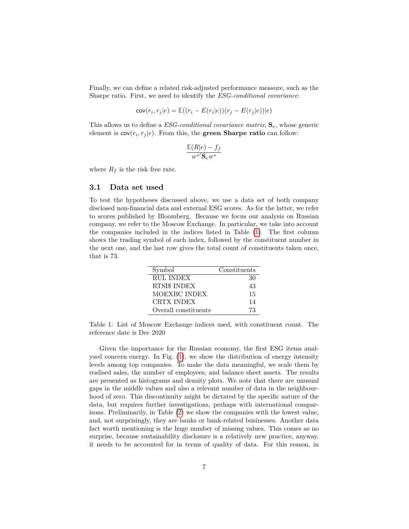Finally, we can define a related risk-adjusted performance measure, such as the Sharpe ratio. First, we need to identify the *ESG-conditional covariance*:

$$
cov(r_i, r_j|e) = \mathbb{E}((r_i - E(r_i|e))(r_j - E(r_j|e))|e)
$$

This allows us to define a *ESG-conditional covariance matrix*, **S***e*, whose generic element is  $cov(r_i, r_j | e)$ . From this, the **green Sharpe ratio** can follow:

$$
\frac{\mathbb{E}(R|e) - f_f}{w^*'\mathbf{S}_e w^*}
$$

where  $R_f$  is the risk free rate.

#### **3.1 Data set used**

To test the hypotheses discussed above, we use a data set of both company disclosed non-financial data and external ESG scores. As for the latter, we refer to scores published by Bloomberg. Because we focus our analysis on Russian company, we refer to the Moscow Exchange. In particular, we take into account the companies included in the indices listed in Table [\(1\)](#page-6-0). The first column shows the trading symbol of each index, followed by the constituent number in the next one, and the last row gives the total count of constituents taken once, that is 73.

| Symbol               | Constituents |
|----------------------|--------------|
| <b>RUL INDEX</b>     | 30           |
| RTSI\$ INDEX         | 43           |
| MOEXBC INDEX         | 15           |
| CRTX INDEX           | 14           |
| Overall constituents | 73           |

<span id="page-6-0"></span>Table 1: List of Moscow Exchange indices used, with constituent count. The reference date is Dec 2020

Given the importance for the Russian economy, the first ESG items analysed concern energy. In Fig. [\(1\)](#page-8-0), we show the distribution of energy intensity levels among top companies. To make the data meaningful, we scale them by realised sales, the number of employees, and balance sheet assets. The results are presented as histograms and density plots. We note that there are unusual gaps in the middle values and also a relevant number of data in the neighbourhood of zero. This discontinuity might be dictated by the specific nature of the data, but requires further investigations, perhaps with international comparisons. Preliminarily, in Table [\(2\)](#page-7-0) we show the companies with the lowest value, and, not surprisingly, they are banks or bank-related businesses. Another data fact worth mentioning is the huge number of missing values. This comes as no surprise, because sustainability disclosure is a relatively new practice, anyway, it needs to be accounted for in terms of quality of data. For this reason, in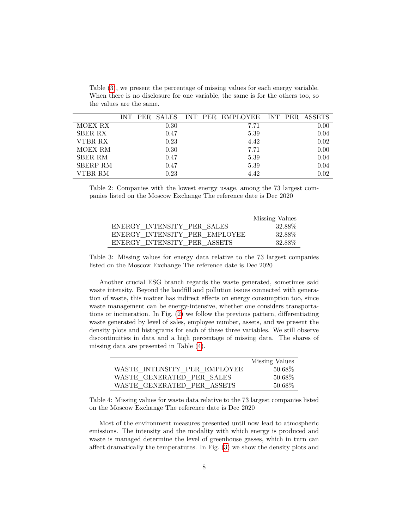|                 |      | INT PER SALES INT PER EMPLOYEE INT PER ASSETS |      |
|-----------------|------|-----------------------------------------------|------|
| MOEX RX         | 0.30 | 7.71                                          | 0.00 |
| <b>SBER RX</b>  | 0.47 | 5.39                                          | 0.04 |
| VTBR RX         | 0.23 | 4.42                                          | 0.02 |
| MOEX RM         | 0.30 | 7.71                                          | 0.00 |
| <b>SBER RM</b>  | 0.47 | 5.39                                          | 0.04 |
| <b>SBERP RM</b> | 0.47 | 5.39                                          | 0.04 |
| VTBR RM         | 0.23 | 4.42                                          | 0.02 |

Table [\(3\)](#page-7-1), we present the percentage of missing values for each energy variable. When there is no disclosure for one variable, the same is for the others too, so the values are the same.

<span id="page-7-0"></span>Table 2: Companies with the lowest energy usage, among the 73 largest companies listed on the Moscow Exchange The reference date is Dec 2020

|                               | Missing Values |
|-------------------------------|----------------|
| ENERGY INTENSITY PER SALES    | 32.88\%        |
| ENERGY INTENSITY PER EMPLOYEE | 32.88%         |
| ENERGY INTENSITY PER ASSETS   | 32.88\%        |

<span id="page-7-1"></span>Table 3: Missing values for energy data relative to the 73 largest companies listed on the Moscow Exchange The reference date is Dec 2020

Another crucial ESG branch regards the waste generated, sometimes said waste intensity. Beyond the landfill and pollution issues connected with generation of waste, this matter has indirect effects on energy consumption too, since waste management can be energy-intensive, whether one considers transportations or incineration. In Fig. [\(2\)](#page-9-0) we follow the previous pattern, differentiating waste generated by level of sales, employee number, assets, and we present the density plots and histograms for each of these three variables. We still observe discontinuities in data and a high percentage of missing data. The shares of missing data are presented in Table [\(4\)](#page-7-2).

|                              | Missing Values |
|------------------------------|----------------|
| WASTE INTENSITY PER EMPLOYEE | $50.68\%$      |
| WASTE GENERATED PER SALES    | 50.68\%        |
| WASTE GENERATED PER ASSETS   | $50.68\%$      |

<span id="page-7-2"></span>Table 4: Missing values for waste data relative to the 73 largest companies listed on the Moscow Exchange The reference date is Dec 2020

Most of the environment measures presented until now lead to atmospheric emissions. The intensity and the modality with which energy is produced and waste is managed determine the level of greenhouse gasses, which in turn can affect dramatically the temperatures. In Fig. [\(3\)](#page-11-0) we show the density plots and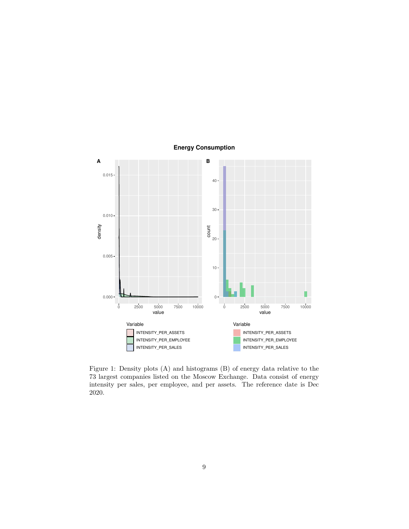

**Energy Consumption**

<span id="page-8-0"></span>Figure 1: Density plots (A) and histograms (B) of energy data relative to the 73 largest companies listed on the Moscow Exchange. Data consist of energy intensity per sales, per employee, and per assets. The reference date is Dec 2020.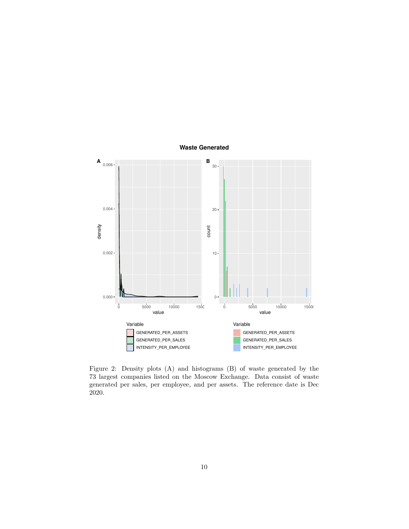

**Waste Generated**

<span id="page-9-0"></span>Figure 2: Density plots (A) and histograms (B) of waste generated by the 73 largest companies listed on the Moscow Exchange. Data consist of waste generated per sales, per employee, and per assets. The reference date is Dec 2020.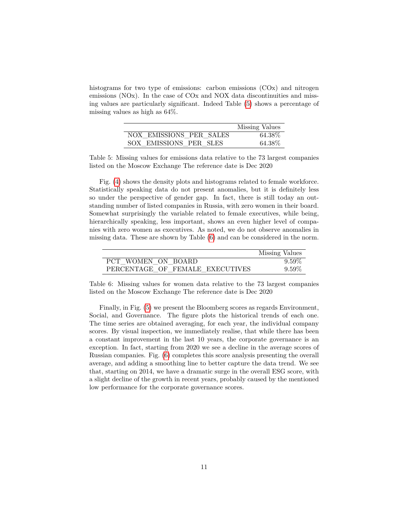histograms for two type of emissions: carbon emissions (COx) and nitrogen emissions (NOx). In the case of COx and NOX data discontinuities and missing values are particularly significant. Indeed Table [\(5\)](#page-10-0) shows a percentage of missing values as high as 64%.

|                         | Missing Values |
|-------------------------|----------------|
| NOX EMISSIONS PER SALES | 64.38%         |
| SOX EMISSIONS PER SLES  | 64.38\%        |

<span id="page-10-0"></span>Table 5: Missing values for emissions data relative to the 73 largest companies listed on the Moscow Exchange The reference date is Dec 2020

Fig. [\(4\)](#page-12-0) shows the density plots and histograms related to female workforce. Statistically speaking data do not present anomalies, but it is definitely less so under the perspective of gender gap. In fact, there is still today an outstanding number of listed companies in Russia, with zero women in their board. Somewhat surprisingly the variable related to female executives, while being, hierarchically speaking, less important, shows an even higher level of companies with zero women as executives. As noted, we do not observe anomalies in missing data. These are shown by Table [\(6\)](#page-10-1) and can be considered in the norm.

|                                 | Missing Values |
|---------------------------------|----------------|
| PCT WOMEN ON BOARD              | $9.59\%$       |
| PERCENTAGE OF FEMALE EXECUTIVES | $9.59\%$       |

<span id="page-10-1"></span>Table 6: Missing values for women data relative to the 73 largest companies listed on the Moscow Exchange The reference date is Dec 2020

Finally, in Fig. [\(5\)](#page-13-0) we present the Bloomberg scores as regards Environment, Social, and Governance. The figure plots the historical trends of each one. The time series are obtained averaging, for each year, the individual company scores. By visual inspection, we immediately realise, that while there has been a constant improvement in the last 10 years, the corporate governance is an exception. In fact, starting from 2020 we see a decline in the average scores of Russian companies. Fig. [\(6\)](#page-14-0) completes this score analysis presenting the overall average, and adding a smoothing line to better capture the data trend. We see that, starting on 2014, we have a dramatic surge in the overall ESG score, with a slight decline of the growth in recent years, probably caused by the mentioned low performance for the corporate governance scores.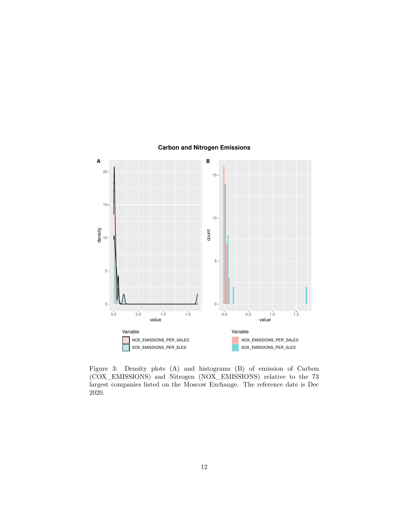

### **Carbon and Nitrogen Emissions**

<span id="page-11-0"></span>Figure 3: Density plots (A) and histograms (B) of emission of Carbon (COX\_EMISSIONS) and Nitrogen (NOX\_EMISSIONS) relative to the 73 largest companies listed on the Moscow Exchange. The reference date is Dec 2020.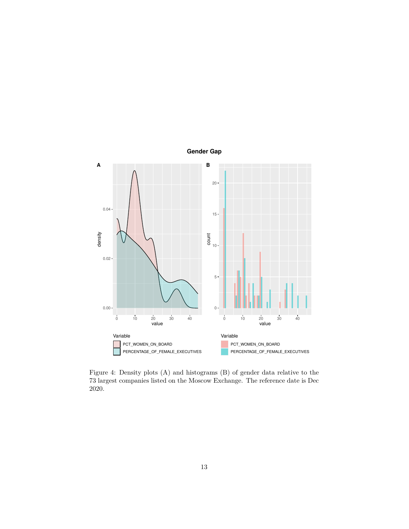

<span id="page-12-0"></span>Figure 4: Density plots (A) and histograms (B) of gender data relative to the 73 largest companies listed on the Moscow Exchange. The reference date is Dec 2020.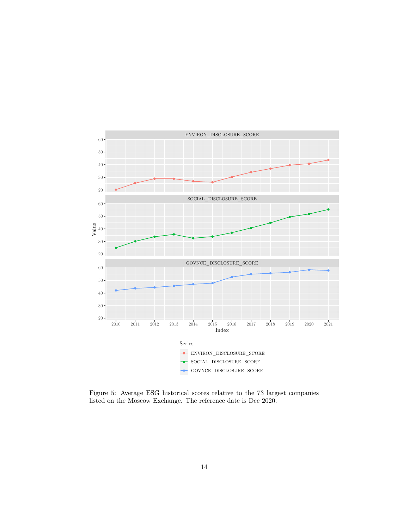

<span id="page-13-0"></span>Figure 5: Average ESG historical scores relative to the 73 largest companies listed on the Moscow Exchange. The reference date is Dec 2020.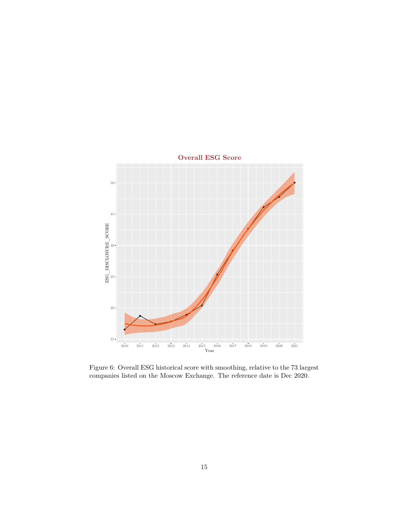

<span id="page-14-0"></span>Figure 6: Overall ESG historical score with smoothing, relative to the 73 largest companies listed on the Moscow Exchange. The reference date is Dec 2020.